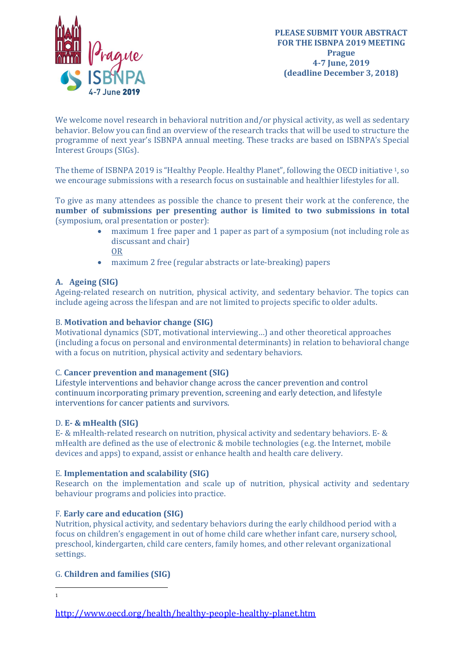

We welcome novel research in behavioral nutrition and/or physical activity, as well as sedentary behavior. Below you can find an overview of the research tracks that will be used to structure the programme of next year's ISBNPA annual meeting. These tracks are based on ISBNPA's Special Interest Groups (SIGs).

The theme of ISBNPA 2019 is "Healthy People. Healthy Planet", following the OECD initiative 1, so we encourage submissions with a research focus on sustainable and healthier lifestyles for all.

To give as many attendees as possible the chance to present their work at the conference, the number of submissions per presenting author is limited to two submissions in total (symposium, oral presentation or poster):

- maximum 1 free paper and 1 paper as part of a symposium (not including role as discussant and chair) OR
- maximum 2 free (regular abstracts or late-breaking) papers

# A. Ageing (SIG)

Ageing-related research on nutrition, physical activity, and sedentary behavior. The topics can include ageing across the lifespan and are not limited to projects specific to older adults.

### B. Motivation and behavior change (SIG)

Motivational dynamics (SDT, motivational interviewing…) and other theoretical approaches (including a focus on personal and environmental determinants) in relation to behavioral change with a focus on nutrition, physical activity and sedentary behaviors.

### C. Cancer prevention and management (SIG)

Lifestyle interventions and behavior change across the cancer prevention and control continuum incorporating primary prevention, screening and early detection, and lifestyle interventions for cancer patients and survivors.

### D. E- & mHealth (SIG)

E- & mHealth-related research on nutrition, physical activity and sedentary behaviors. E- & mHealth are defined as the use of electronic & mobile technologies (e.g. the Internet, mobile devices and apps) to expand, assist or enhance health and health care delivery.

### E. Implementation and scalability (SIG)

Research on the implementation and scale up of nutrition, physical activity and sedentary behaviour programs and policies into practice.

### F. Early care and education (SIG)

Nutrition, physical activity, and sedentary behaviors during the early childhood period with a focus on children's engagement in out of home child care whether infant care, nursery school, preschool, kindergarten, child care centers, family homes, and other relevant organizational settings.

# G. Children and families (SIG)

 $\overline{a}$ 1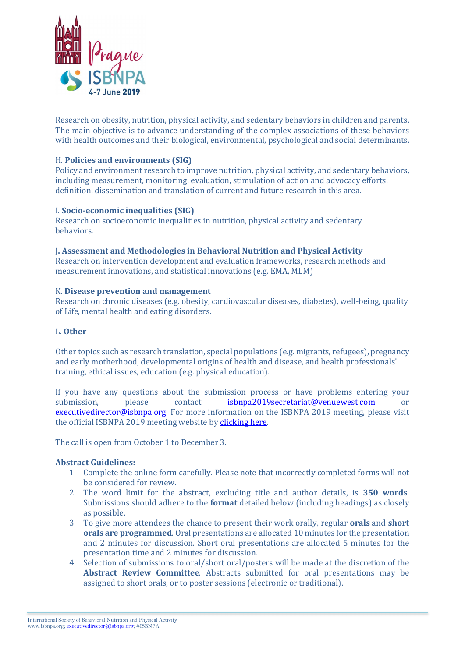

Research on obesity, nutrition, physical activity, and sedentary behaviors in children and parents. The main objective is to advance understanding of the complex associations of these behaviors with health outcomes and their biological, environmental, psychological and social determinants.

# H. Policies and environments (SIG)

Policy and environment research to improve nutrition, physical activity, and sedentary behaviors, including measurement, monitoring, evaluation, stimulation of action and advocacy efforts, definition, dissemination and translation of current and future research in this area.

### I. Socio-economic inequalities (SIG)

Research on socioeconomic inequalities in nutrition, physical activity and sedentary behaviors.

#### J. Assessment and Methodologies in Behavioral Nutrition and Physical Activity

Research on intervention development and evaluation frameworks, research methods and measurement innovations, and statistical innovations (e.g. EMA, MLM)

#### K. Disease prevention and management

Research on chronic diseases (e.g. obesity, cardiovascular diseases, diabetes), well-being, quality of Life, mental health and eating disorders.

#### L. Other

Other topics such as research translation, special populations (e.g. migrants, refugees), pregnancy and early motherhood, developmental origins of health and disease, and health professionals' training, ethical issues, education (e.g. physical education).

If you have any questions about the submission process or have problems entering your submission, please contact isbnpa2019secretariat@venuewest.com or executivedirector@isbnpa.org. For more information on the ISBNPA 2019 meeting, please visit the official ISBNPA 2019 meeting website by clicking here.

The call is open from October 1 to December 3.

### Abstract Guidelines:

- 1. Complete the online form carefully. Please note that incorrectly completed forms will not be considered for review.
- 2. The word limit for the abstract, excluding title and author details, is 350 words. Submissions should adhere to the format detailed below (including headings) as closely as possible.
- 3. To give more attendees the chance to present their work orally, regular orals and short orals are programmed. Oral presentations are allocated 10 minutes for the presentation and 2 minutes for discussion. Short oral presentations are allocated 5 minutes for the presentation time and 2 minutes for discussion.
- 4. Selection of submissions to oral/short oral/posters will be made at the discretion of the Abstract Review Committee. Abstracts submitted for oral presentations may be assigned to short orals, or to poster sessions (electronic or traditional).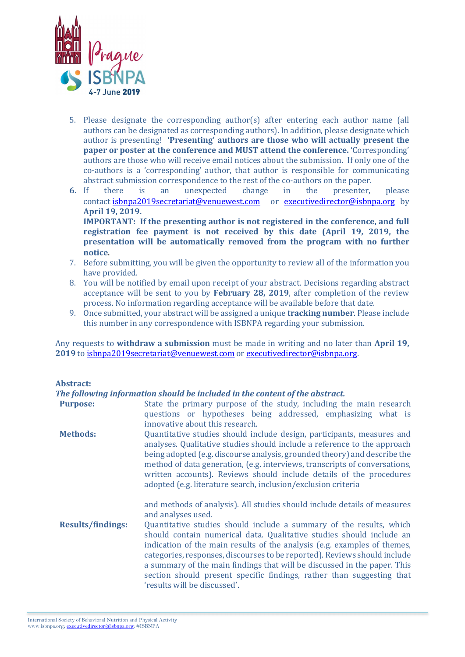

- 5. Please designate the corresponding author(s) after entering each author name (all authors can be designated as corresponding authors). In addition, please designate which author is presenting! 'Presenting' authors are those who will actually present the paper or poster at the conference and MUST attend the conference. 'Corresponding' authors are those who will receive email notices about the submission. If only one of the co-authors is a 'corresponding' author, that author is responsible for communicating abstract submission correspondence to the rest of the co-authors on the paper.
- 6. If there is an unexpected change in the presenter, please contact isbnpa2019secretariat@venuewest.com or executivedirector@isbnpa.org by April 19, 2019. IMPORTANT: If the presenting author is not registered in the conference, and full registration fee payment is not received by this date (April 19, 2019, the presentation will be automatically removed from the program with no further notice.
- 7. Before submitting, you will be given the opportunity to review all of the information you have provided.
- 8. You will be notified by email upon receipt of your abstract. Decisions regarding abstract acceptance will be sent to you by February 28, 2019, after completion of the review process. No information regarding acceptance will be available before that date.
- 9. Once submitted, your abstract will be assigned a unique **tracking number**. Please include this number in any correspondence with ISBNPA regarding your submission.

Any requests to withdraw a submission must be made in writing and no later than April 19, 2019 to isbnpa2019secretariat@venuewest.com or executivedirector@isbnpa.org.

| Abstract:                |                                                                                                                                                                                                                                                                                                                                                                                                                                                                                                                                                                                             |
|--------------------------|---------------------------------------------------------------------------------------------------------------------------------------------------------------------------------------------------------------------------------------------------------------------------------------------------------------------------------------------------------------------------------------------------------------------------------------------------------------------------------------------------------------------------------------------------------------------------------------------|
|                          | The following information should be included in the content of the abstract.                                                                                                                                                                                                                                                                                                                                                                                                                                                                                                                |
| <b>Purpose:</b>          | State the primary purpose of the study, including the main research<br>questions or hypotheses being addressed, emphasizing what is<br>innovative about this research.                                                                                                                                                                                                                                                                                                                                                                                                                      |
| <b>Methods:</b>          | Quantitative studies should include design, participants, measures and<br>analyses. Qualitative studies should include a reference to the approach<br>being adopted (e.g. discourse analysis, grounded theory) and describe the<br>method of data generation, (e.g. interviews, transcripts of conversations,<br>written accounts). Reviews should include details of the procedures<br>adopted (e.g. literature search, inclusion/exclusion criteria                                                                                                                                       |
| <b>Results/findings:</b> | and methods of analysis). All studies should include details of measures<br>and analyses used.<br>Quantitative studies should include a summary of the results, which<br>should contain numerical data. Qualitative studies should include an<br>indication of the main results of the analysis (e.g. examples of themes,<br>categories, responses, discourses to be reported). Reviews should include<br>a summary of the main findings that will be discussed in the paper. This<br>section should present specific findings, rather than suggesting that<br>'results will be discussed'. |